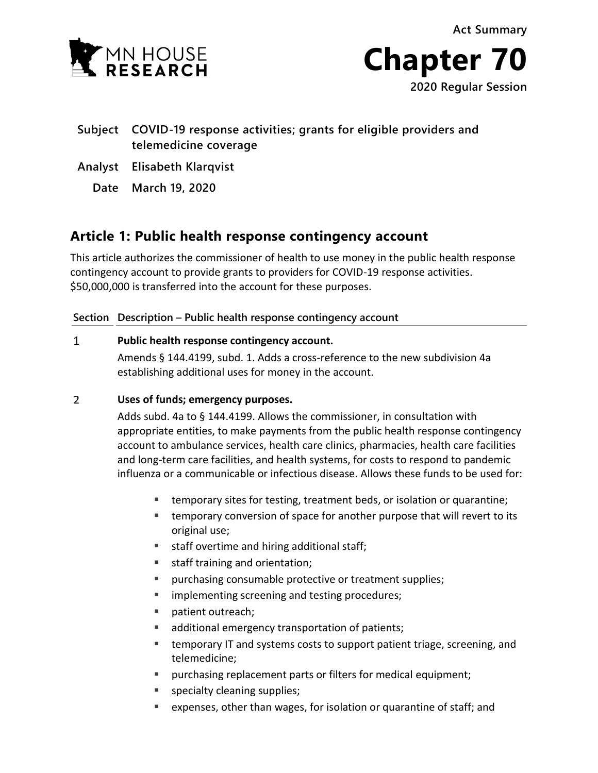**Act Summary**





**2020 Regular Session**

## **Subject COVID-19 response activities; grants for eligible providers and telemedicine coverage**

- **Analyst Elisabeth Klarqvist**
	- **Date March 19, 2020**

# **Article 1: Public health response contingency account**

This article authorizes the commissioner of health to use money in the public health response contingency account to provide grants to providers for COVID-19 response activities. \$50,000,000 is transferred into the account for these purposes.

## **Section Description – Public health response contingency account**

#### $\mathbf{1}$ **Public health response contingency account.**

Amends § 144.4199, subd. 1. Adds a cross-reference to the new subdivision 4a establishing additional uses for money in the account.

#### $\overline{2}$ **Uses of funds; emergency purposes.**

Adds subd. 4a to § 144.4199. Allows the commissioner, in consultation with appropriate entities, to make payments from the public health response contingency account to ambulance services, health care clinics, pharmacies, health care facilities and long-term care facilities, and health systems, for costs to respond to pandemic influenza or a communicable or infectious disease. Allows these funds to be used for:

- temporary sites for testing, treatment beds, or isolation or quarantine;
- **EXT** temporary conversion of space for another purpose that will revert to its original use;
- **staff overtime and hiring additional staff;**
- staff training and orientation;
- **Permies in all protective or treatment supplies;**
- **If** implementing screening and testing procedures;
- **patient outreach;**
- additional emergency transportation of patients;
- **temporary IT and systems costs to support patient triage, screening, and** telemedicine;
- purchasing replacement parts or filters for medical equipment;
- **specialty cleaning supplies;**
- expenses, other than wages, for isolation or quarantine of staff; and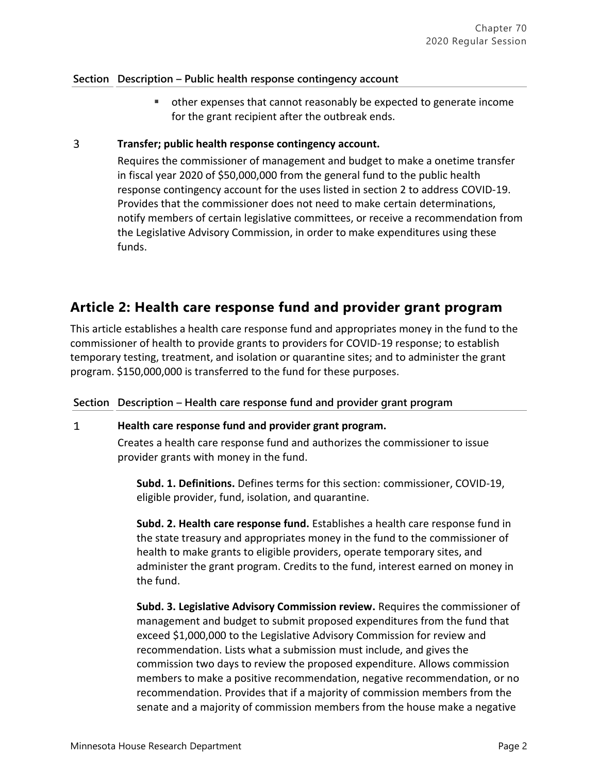### **Section Description – Public health response contingency account**

 other expenses that cannot reasonably be expected to generate income for the grant recipient after the outbreak ends.

#### $\overline{3}$ **Transfer; public health response contingency account.**

Requires the commissioner of management and budget to make a onetime transfer in fiscal year 2020 of \$50,000,000 from the general fund to the public health response contingency account for the uses listed in section 2 to address COVID-19. Provides that the commissioner does not need to make certain determinations, notify members of certain legislative committees, or receive a recommendation from the Legislative Advisory Commission, in order to make expenditures using these funds.

## **Article 2: Health care response fund and provider grant program**

This article establishes a health care response fund and appropriates money in the fund to the commissioner of health to provide grants to providers for COVID-19 response; to establish temporary testing, treatment, and isolation or quarantine sites; and to administer the grant program. \$150,000,000 is transferred to the fund for these purposes.

**Section Description – Health care response fund and provider grant program**

#### **Health care response fund and provider grant program.**  $\mathbf{1}$

Creates a health care response fund and authorizes the commissioner to issue provider grants with money in the fund.

**Subd. 1. Definitions.** Defines terms for this section: commissioner, COVID-19, eligible provider, fund, isolation, and quarantine.

**Subd. 2. Health care response fund.** Establishes a health care response fund in the state treasury and appropriates money in the fund to the commissioner of health to make grants to eligible providers, operate temporary sites, and administer the grant program. Credits to the fund, interest earned on money in the fund.

**Subd. 3. Legislative Advisory Commission review.** Requires the commissioner of management and budget to submit proposed expenditures from the fund that exceed \$1,000,000 to the Legislative Advisory Commission for review and recommendation. Lists what a submission must include, and gives the commission two days to review the proposed expenditure. Allows commission members to make a positive recommendation, negative recommendation, or no recommendation. Provides that if a majority of commission members from the senate and a majority of commission members from the house make a negative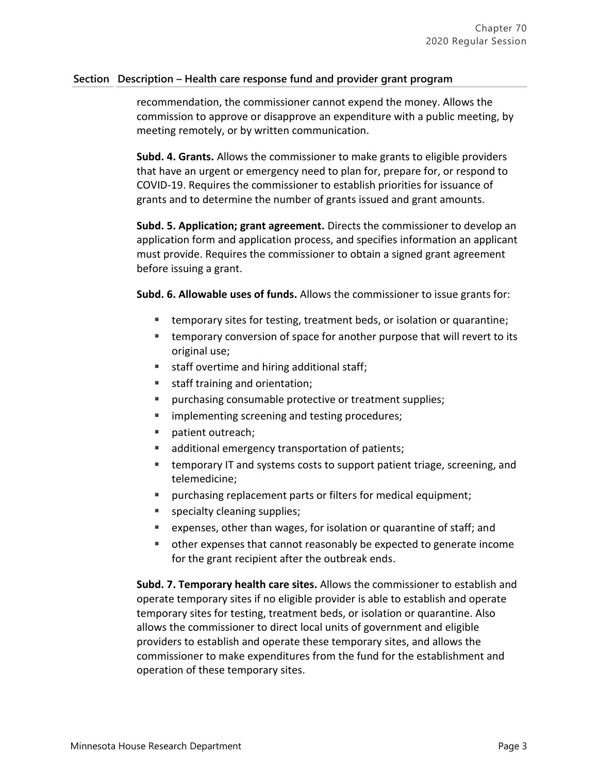### **Section Description – Health care response fund and provider grant program**

recommendation, the commissioner cannot expend the money. Allows the commission to approve or disapprove an expenditure with a public meeting, by meeting remotely, or by written communication.

**Subd. 4. Grants.** Allows the commissioner to make grants to eligible providers that have an urgent or emergency need to plan for, prepare for, or respond to COVID-19. Requires the commissioner to establish priorities for issuance of grants and to determine the number of grants issued and grant amounts.

**Subd. 5. Application; grant agreement.** Directs the commissioner to develop an application form and application process, and specifies information an applicant must provide. Requires the commissioner to obtain a signed grant agreement before issuing a grant.

**Subd. 6. Allowable uses of funds.** Allows the commissioner to issue grants for:

- temporary sites for testing, treatment beds, or isolation or quarantine;
- temporary conversion of space for another purpose that will revert to its original use;
- staff overtime and hiring additional staff;
- staff training and orientation;
- **PEDIET:** purchasing consumable protective or treatment supplies;
- **If** implementing screening and testing procedures;
- patient outreach;
- additional emergency transportation of patients;
- **EXTERGHT EXECTS THE EXECTS THE THE STARK IN STARK ISS** temporary IT and systems costs to support patient triage, screening, and telemedicine;
- purchasing replacement parts or filters for medical equipment;
- **specialty cleaning supplies;**
- expenses, other than wages, for isolation or quarantine of staff; and
- other expenses that cannot reasonably be expected to generate income for the grant recipient after the outbreak ends.

**Subd. 7. Temporary health care sites.** Allows the commissioner to establish and operate temporary sites if no eligible provider is able to establish and operate temporary sites for testing, treatment beds, or isolation or quarantine. Also allows the commissioner to direct local units of government and eligible providers to establish and operate these temporary sites, and allows the commissioner to make expenditures from the fund for the establishment and operation of these temporary sites.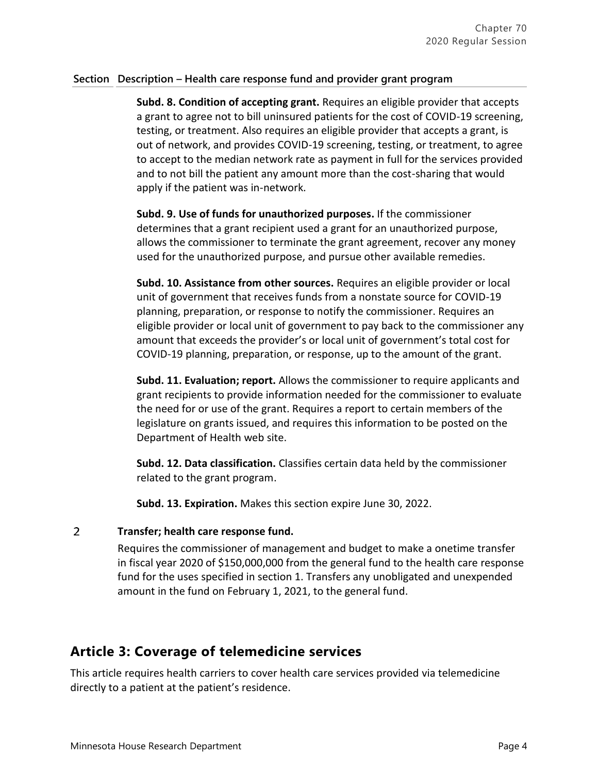### **Section Description – Health care response fund and provider grant program**

**Subd. 8. Condition of accepting grant.** Requires an eligible provider that accepts a grant to agree not to bill uninsured patients for the cost of COVID-19 screening, testing, or treatment. Also requires an eligible provider that accepts a grant, is out of network, and provides COVID-19 screening, testing, or treatment, to agree to accept to the median network rate as payment in full for the services provided and to not bill the patient any amount more than the cost-sharing that would apply if the patient was in-network.

**Subd. 9. Use of funds for unauthorized purposes.** If the commissioner determines that a grant recipient used a grant for an unauthorized purpose, allows the commissioner to terminate the grant agreement, recover any money used for the unauthorized purpose, and pursue other available remedies.

**Subd. 10. Assistance from other sources.** Requires an eligible provider or local unit of government that receives funds from a nonstate source for COVID-19 planning, preparation, or response to notify the commissioner. Requires an eligible provider or local unit of government to pay back to the commissioner any amount that exceeds the provider's or local unit of government's total cost for COVID-19 planning, preparation, or response, up to the amount of the grant.

**Subd. 11. Evaluation; report.** Allows the commissioner to require applicants and grant recipients to provide information needed for the commissioner to evaluate the need for or use of the grant. Requires a report to certain members of the legislature on grants issued, and requires this information to be posted on the Department of Health web site.

**Subd. 12. Data classification.** Classifies certain data held by the commissioner related to the grant program.

**Subd. 13. Expiration.** Makes this section expire June 30, 2022.

#### $\overline{2}$ **Transfer; health care response fund.**

Requires the commissioner of management and budget to make a onetime transfer in fiscal year 2020 of \$150,000,000 from the general fund to the health care response fund for the uses specified in section 1. Transfers any unobligated and unexpended amount in the fund on February 1, 2021, to the general fund.

## **Article 3: Coverage of telemedicine services**

This article requires health carriers to cover health care services provided via telemedicine directly to a patient at the patient's residence.